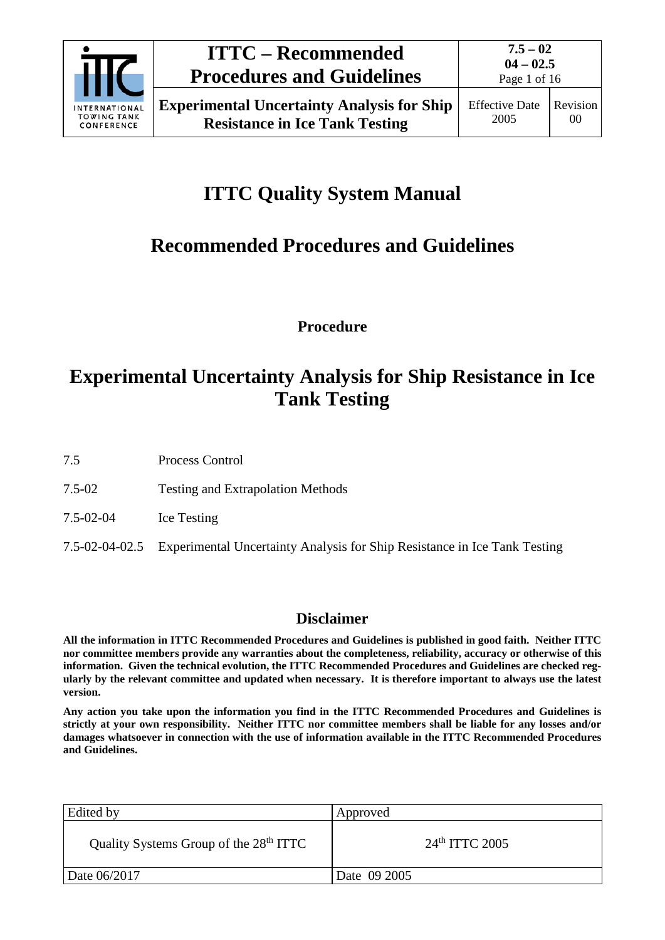

# **ITTC Quality System Manual**

# **Recommended Procedures and Guidelines**

**Procedure**

# **Experimental Uncertainty Analysis for Ship Resistance in Ice Tank Testing**

7.5 Process Control

- 7.5-02 Testing and Extrapolation Methods
- 7.5-02-04 Ice Testing
- 7.5-02-04-02.5 Experimental Uncertainty Analysis for Ship Resistance in Ice Tank Testing

## **Disclaimer**

**All the information in ITTC Recommended Procedures and Guidelines is published in good faith. Neither ITTC nor committee members provide any warranties about the completeness, reliability, accuracy or otherwise of this information. Given the technical evolution, the ITTC Recommended Procedures and Guidelines are checked regularly by the relevant committee and updated when necessary. It is therefore important to always use the latest version.**

**Any action you take upon the information you find in the ITTC Recommended Procedures and Guidelines is strictly at your own responsibility. Neither ITTC nor committee members shall be liable for any losses and/or damages whatsoever in connection with the use of information available in the ITTC Recommended Procedures and Guidelines.**

| Edited by                                          | Approved         |
|----------------------------------------------------|------------------|
| Quality Systems Group of the 28 <sup>th</sup> ITTC | $24th$ ITTC 2005 |
| Date 06/2017                                       | Date 09 2005     |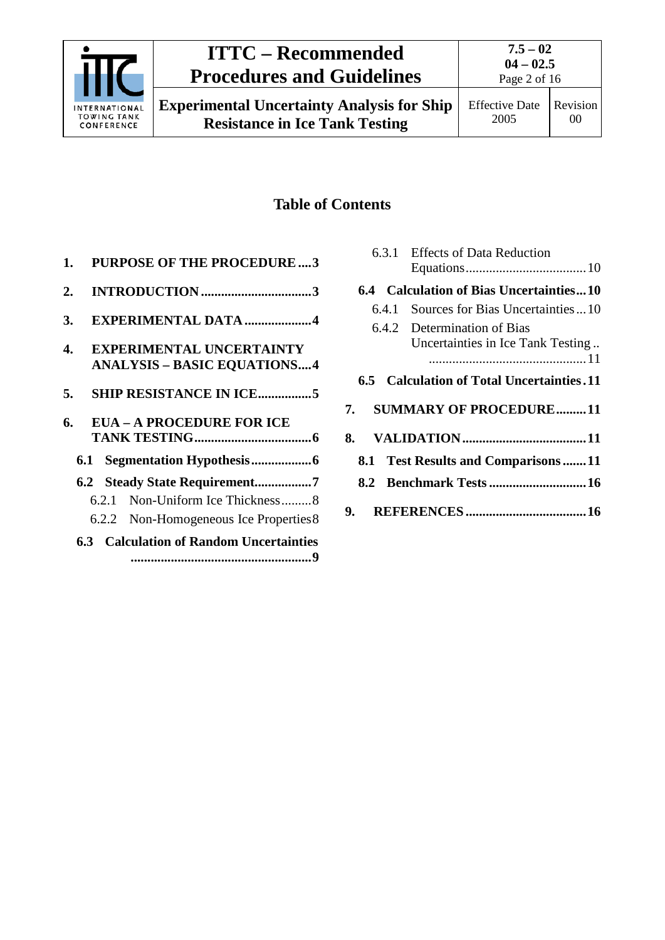

## **Table of Contents**

| 1. |       | <b>PURPOSE OF THE PROCEDURE3</b>                                      |  |
|----|-------|-----------------------------------------------------------------------|--|
| 2. |       |                                                                       |  |
| 3. |       | <b>EXPERIMENTAL DATA 4</b>                                            |  |
| 4. |       | <b>EXPERIMENTAL UNCERTAINTY</b><br><b>ANALYSIS - BASIC EQUATIONS4</b> |  |
|    |       |                                                                       |  |
| 5. |       | <b>SHIP RESISTANCE IN ICE5</b>                                        |  |
| 6. |       | <b>EUA - A PROCEDURE FOR ICE</b>                                      |  |
|    |       |                                                                       |  |
|    |       | 6.2 Steady State Requirement7                                         |  |
|    | 6.2.1 | Non-Uniform Ice Thickness8                                            |  |
|    |       | 6.2.2 Non-Homogeneous Ice Properties 8                                |  |

|       | 6.3.1 Effects of Data Reduction                                  |
|-------|------------------------------------------------------------------|
|       | 6.4 Calculation of Bias Uncertainties10                          |
| 6.4.1 | Sources for Bias Uncertainties10                                 |
|       | 6.4.2 Determination of Bias<br>Uncertainties in Ice Tank Testing |
|       |                                                                  |
|       | 6.5 Calculation of Total Uncertainties. 11                       |
|       | 7. SUMMARY OF PROCEDURE11                                        |
|       |                                                                  |
|       | 8.1 Test Results and Comparisons 11                              |
|       |                                                                  |
|       |                                                                  |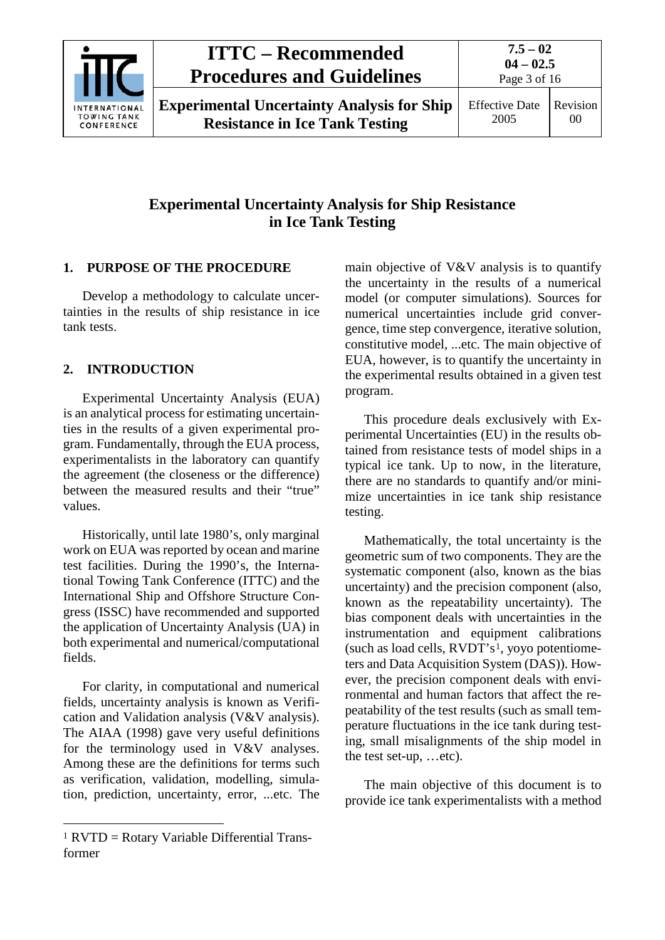

**Experimental Uncertainty Analysis for Ship Resistance in Ice Tank Testing**

## **Experimental Uncertainty Analysis for Ship Resistance in Ice Tank Testing**

## <span id="page-2-0"></span>**1. PURPOSE OF THE PROCEDURE**

Develop a methodology to calculate uncertainties in the results of ship resistance in ice tank tests.

## <span id="page-2-1"></span>**2. INTRODUCTION**

Experimental Uncertainty Analysis (EUA) is an analytical process for estimating uncertainties in the results of a given experimental program. Fundamentally, through the EUA process, experimentalists in the laboratory can quantify the agreement (the closeness or the difference) between the measured results and their "true" values.

Historically, until late 1980's, only marginal work on EUA was reported by ocean and marine test facilities. During the 1990's, the International Towing Tank Conference (ITTC) and the International Ship and Offshore Structure Congress (ISSC) have recommended and supported the application of Uncertainty Analysis (UA) in both experimental and numerical/computational fields.

For clarity, in computational and numerical fields, uncertainty analysis is known as Verification and Validation analysis (V&V analysis). The AIAA (1998) gave very useful definitions for the terminology used in V&V analyses. Among these are the definitions for terms such as verification, validation, modelling, simulation, prediction, uncertainty, error, ...etc. The

main objective of V&V analysis is to quantify the uncertainty in the results of a numerical model (or computer simulations). Sources for numerical uncertainties include grid convergence, time step convergence, iterative solution, constitutive model, ...etc. The main objective of EUA, however, is to quantify the uncertainty in the experimental results obtained in a given test program.

This procedure deals exclusively with Experimental Uncertainties (EU) in the results obtained from resistance tests of model ships in a typical ice tank. Up to now, in the literature, there are no standards to quantify and/or minimize uncertainties in ice tank ship resistance testing.

Mathematically, the total uncertainty is the geometric sum of two components. They are the systematic component (also, known as the bias uncertainty) and the precision component (also, known as the repeatability uncertainty). The bias component deals with uncertainties in the instrumentation and equipment calibrations (such as load cells,  $RVDT's<sup>1</sup>$  $RVDT's<sup>1</sup>$  $RVDT's<sup>1</sup>$ , yoyo potentiometers and Data Acquisition System (DAS)). However, the precision component deals with environmental and human factors that affect the repeatability of the test results (such as small temperature fluctuations in the ice tank during testing, small misalignments of the ship model in the test set-up, …etc).

The main objective of this document is to provide ice tank experimentalists with a method

<span id="page-2-2"></span> $1$  RVTD = Rotary Variable Differential Transformer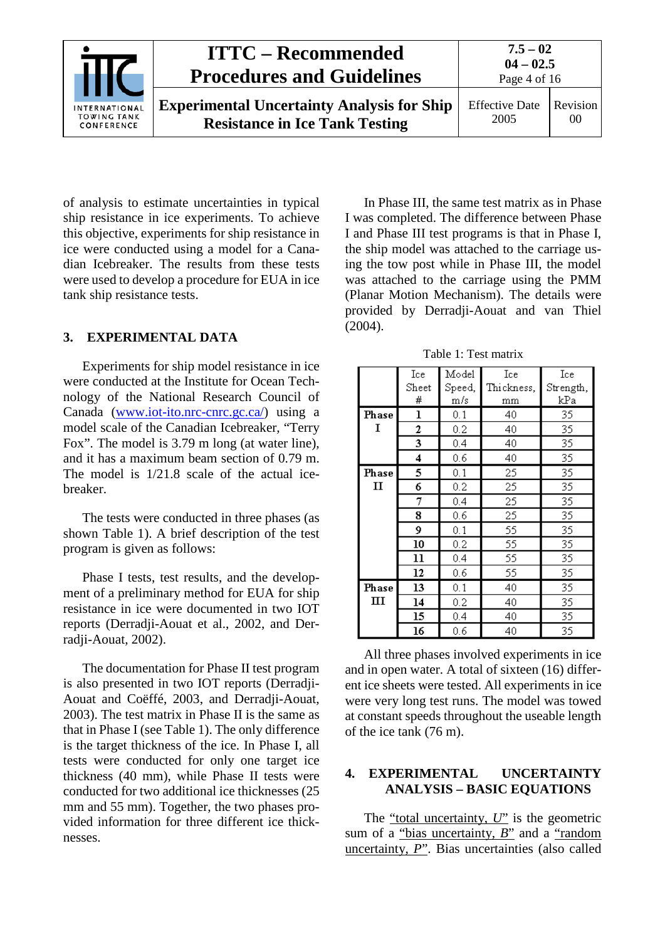

of analysis to estimate uncertainties in typical ship resistance in ice experiments. To achieve this objective, experiments for ship resistance in ice were conducted using a model for a Canadian Icebreaker. The results from these tests were used to develop a procedure for EUA in ice tank ship resistance tests.

### <span id="page-3-0"></span>**3. EXPERIMENTAL DATA**

Experiments for ship model resistance in ice were conducted at the Institute for Ocean Technology of the National Research Council of Canada [\(www.iot-ito.nrc-cnrc.gc.ca/\)](http://www.iot-ito.nrc-cnrc.gc.ca/) using a model scale of the Canadian Icebreaker, "Terry Fox". The model is 3.79 m long (at water line), and it has a maximum beam section of 0.79 m. The model is 1/21.8 scale of the actual icebreaker.

The tests were conducted in three phases (as shown Table 1). A brief description of the test program is given as follows:

Phase I tests, test results, and the development of a preliminary method for EUA for ship resistance in ice were documented in two IOT reports (Derradji-Aouat et al., 2002, and Derradji-Aouat, 2002).

The documentation for Phase II test program is also presented in two IOT reports (Derradji-Aouat and Coëffé, 2003, and Derradji-Aouat, 2003). The test matrix in Phase II is the same as that in Phase I (see Table 1). The only difference is the target thickness of the ice. In Phase I, all tests were conducted for only one target ice thickness (40 mm), while Phase II tests were conducted for two additional ice thicknesses (25 mm and 55 mm). Together, the two phases provided information for three different ice thicknesses.

In Phase III, the same test matrix as in Phase I was completed. The difference between Phase I and Phase III test programs is that in Phase I, the ship model was attached to the carriage using the tow post while in Phase III, the model was attached to the carriage using the PMM (Planar Motion Mechanism). The details were provided by Derradji-Aouat and van Thiel (2004).

Table 1: Test matrix

|              | Ice                             | Model  | Ice        | Ice       |
|--------------|---------------------------------|--------|------------|-----------|
|              | $\operatorname{\mathsf{Sheet}}$ | Speed, | Thickness, | Strength, |
|              | #                               | m/s    | mm         | kPa       |
| Phase        | ı                               | 0.1    | 40         | 35        |
| I            | 2                               | 0.2    | 40         | 35        |
|              | 3                               | 0.4    | 40         | 35        |
|              | 4                               | 0.6    | 40         | 35        |
| Phase        | 5                               | 0.1    | 25         | 35        |
| $\mathbf{I}$ | 6                               | 0.2    | 25         | 35        |
|              | 7                               | 0.4    | 25         | 35        |
|              | 8                               | 0.6    | 25         | 35        |
|              | 9                               | 0.1    | 55         | 35        |
|              | 10                              | 0.2    | 55         | 35        |
|              | 11                              | 0.4    | 55         | 35        |
|              | 12                              | 0.6    | 55         | 35        |
| Phase        | 13                              | 0.1    | 40         | 35        |
| ш            | 14                              | 0.2    | 40         | 35        |
|              | 15                              | 0.4    | 40         | 35        |
|              | 16                              | 0.6    | 40         | 35        |

All three phases involved experiments in ice and in open water. A total of sixteen (16) different ice sheets were tested. All experiments in ice were very long test runs. The model was towed at constant speeds throughout the useable length of the ice tank (76 m).

### <span id="page-3-1"></span>**4. EXPERIMENTAL UNCERTAINTY ANALYSIS – BASIC EQUATIONS**

The "total uncertainty, *U*" is the geometric sum of a "bias uncertainty, *B*" and a "random" uncertainty, *P*". Bias uncertainties (also called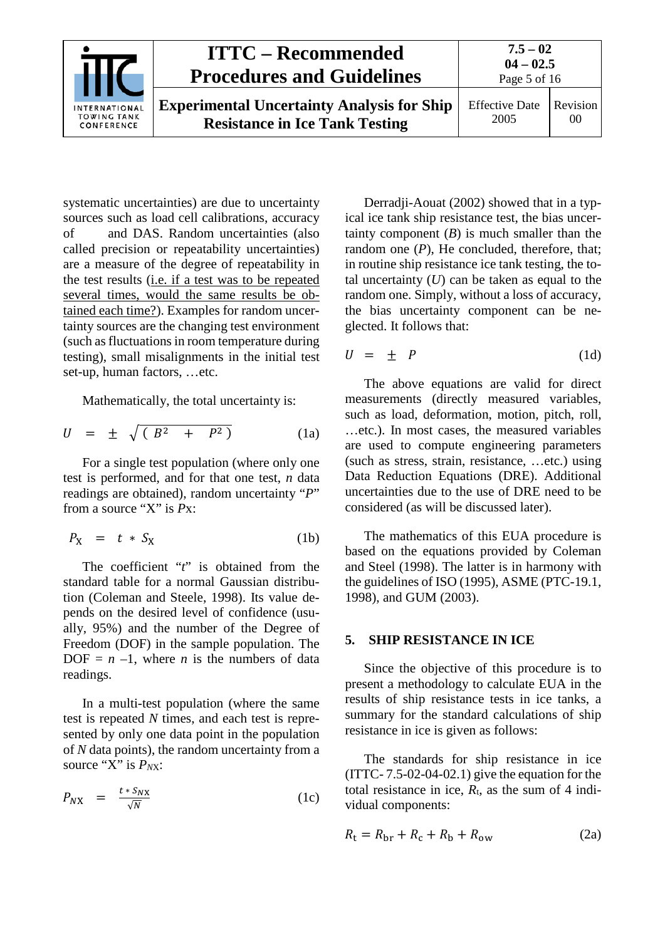

systematic uncertainties) are due to uncertainty sources such as load cell calibrations, accuracy of and DAS. Random uncertainties (also called precision or repeatability uncertainties) are a measure of the degree of repeatability in the test results (i.e. if a test was to be repeated several times, would the same results be obtained each time?). Examples for random uncertainty sources are the changing test environment (such as fluctuations in room temperature during testing), small misalignments in the initial test set-up, human factors, …etc.

Mathematically, the total uncertainty is:

$$
U = \pm \sqrt{(B^2 + P^2)}
$$
 (1a)

For a single test population (where only one test is performed, and for that one test, *n* data readings are obtained), random uncertainty "*P*" from a source "X" is *P*x:

$$
P_X = t * S_X \tag{1b}
$$

The coefficient "*t*" is obtained from the standard table for a normal Gaussian distribution (Coleman and Steele, 1998). Its value depends on the desired level of confidence (usually, 95%) and the number of the Degree of Freedom (DOF) in the sample population. The DOF =  $n -1$ , where  $n$  is the numbers of data readings.

In a multi-test population (where the same test is repeated *N* times, and each test is represented by only one data point in the population of *N* data points), the random uncertainty from a source "X" is  $P_{NX}$ :

$$
P_{NX} = \frac{t * S_{NX}}{\sqrt{N}} \tag{1c}
$$

Derradji-Aouat (2002) showed that in a typical ice tank ship resistance test, the bias uncertainty component  $(B)$  is much smaller than the random one  $(P)$ , He concluded, therefore, that; in routine ship resistance ice tank testing, the total uncertainty  $(U)$  can be taken as equal to the random one. Simply, without a loss of accuracy, the bias uncertainty component can be neglected. It follows that:

$$
U = \pm P \tag{1d}
$$

The above equations are valid for direct measurements (directly measured variables, such as load, deformation, motion, pitch, roll, …etc.). In most cases, the measured variables are used to compute engineering parameters (such as stress, strain, resistance, …etc.) using Data Reduction Equations (DRE). Additional uncertainties due to the use of DRE need to be considered (as will be discussed later).

The mathematics of this EUA procedure is based on the equations provided by Coleman and Steel (1998). The latter is in harmony with the guidelines of ISO (1995), ASME (PTC-19.1, 1998), and GUM (2003).

#### <span id="page-4-0"></span>**5. SHIP RESISTANCE IN ICE**

Since the objective of this procedure is to present a methodology to calculate EUA in the results of ship resistance tests in ice tanks, a summary for the standard calculations of ship resistance in ice is given as follows:

The standards for ship resistance in ice  $(TTTC- 7.5-02-04-02.1)$  give the equation for the total resistance in ice,  $R_t$ , as the sum of 4 individual components:

$$
R_{\rm t} = R_{\rm br} + R_{\rm c} + R_{\rm b} + R_{\rm ow} \tag{2a}
$$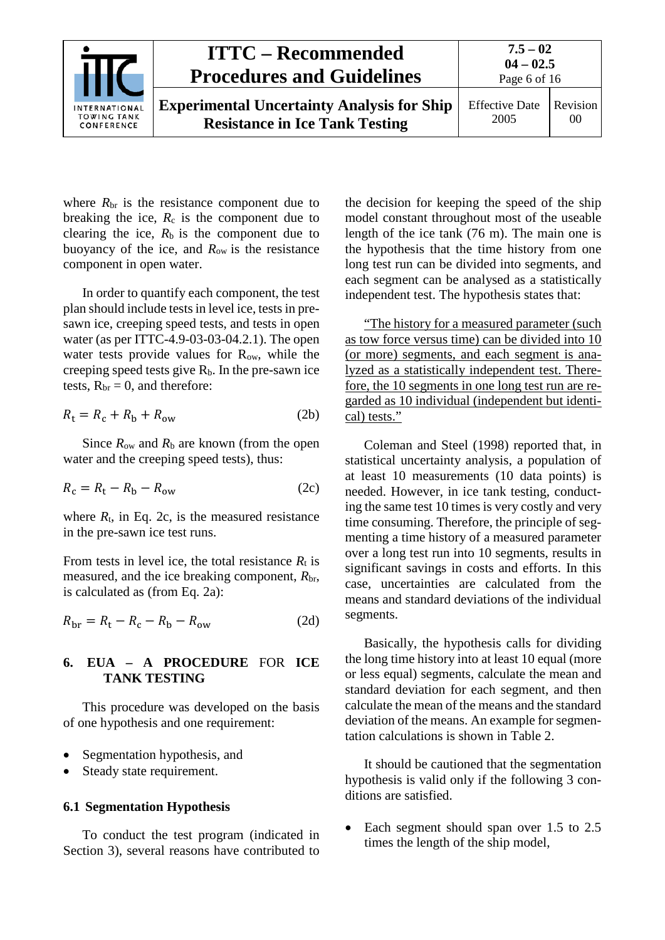

where  $R_{\rm br}$  is the resistance component due to breaking the ice,  $R_c$  is the component due to clearing the ice,  $R_b$  is the component due to buoyancy of the ice, and *R*ow is the resistance component in open water.

In order to quantify each component, the test plan should include tests in level ice, tests in presawn ice, creeping speed tests, and tests in open water (as per ITTC-4.9-03-03-04.2.1). The open water tests provide values for R<sub>ow</sub>, while the creeping speed tests give  $R_b$ . In the pre-sawn ice tests,  $R_{\rm br} = 0$ , and therefore:

$$
R_{\rm t} = R_{\rm c} + R_{\rm b} + R_{\rm ow} \tag{2b}
$$

Since *R*ow and *R*<sup>b</sup> are known (from the open water and the creeping speed tests), thus:

$$
R_{\rm c} = R_{\rm t} - R_{\rm b} - R_{\rm ow} \tag{2c}
$$

where  $R_t$ , in Eq. 2c, is the measured resistance in the pre-sawn ice test runs.

From tests in level ice, the total resistance  $R_t$  is measured, and the ice breaking component,  $R_{\text{br}}$ , is calculated as (from Eq. 2a):

<span id="page-5-0"></span>
$$
R_{\rm br} = R_{\rm t} - R_{\rm c} - R_{\rm b} - R_{\rm ow} \tag{2d}
$$

### **6. EUA – A PROCEDURE** FOR **ICE TANK TESTING**

This procedure was developed on the basis of one hypothesis and one requirement:

- Segmentation hypothesis, and
- Steady state requirement.

#### <span id="page-5-1"></span>**6.1 Segmentation Hypothesis**

To conduct the test program (indicated in Section 3), several reasons have contributed to

the decision for keeping the speed of the ship model constant throughout most of the useable length of the ice tank (76 m). The main one is the hypothesis that the time history from one long test run can be divided into segments, and each segment can be analysed as a statistically independent test. The hypothesis states that:

"The history for a measured parameter (such as tow force versus time) can be divided into 10 (or more) segments, and each segment is analyzed as a statistically independent test. Therefore, the 10 segments in one long test run are regarded as 10 individual (independent but identical) tests."

Coleman and Steel (1998) reported that, in statistical uncertainty analysis, a population of at least 10 measurements (10 data points) is needed. However, in ice tank testing, conducting the same test 10 times is very costly and very time consuming. Therefore, the principle of segmenting a time history of a measured parameter over a long test run into 10 segments, results in significant savings in costs and efforts. In this case, uncertainties are calculated from the means and standard deviations of the individual segments.

Basically, the hypothesis calls for dividing the long time history into at least 10 equal (more or less equal) segments, calculate the mean and standard deviation for each segment, and then calculate the mean of the means and the standard deviation of the means. An example for segmentation calculations is shown in Table 2.

It should be cautioned that the segmentation hypothesis is valid only if the following 3 conditions are satisfied.

Each segment should span over 1.5 to 2.5 times the length of the ship model,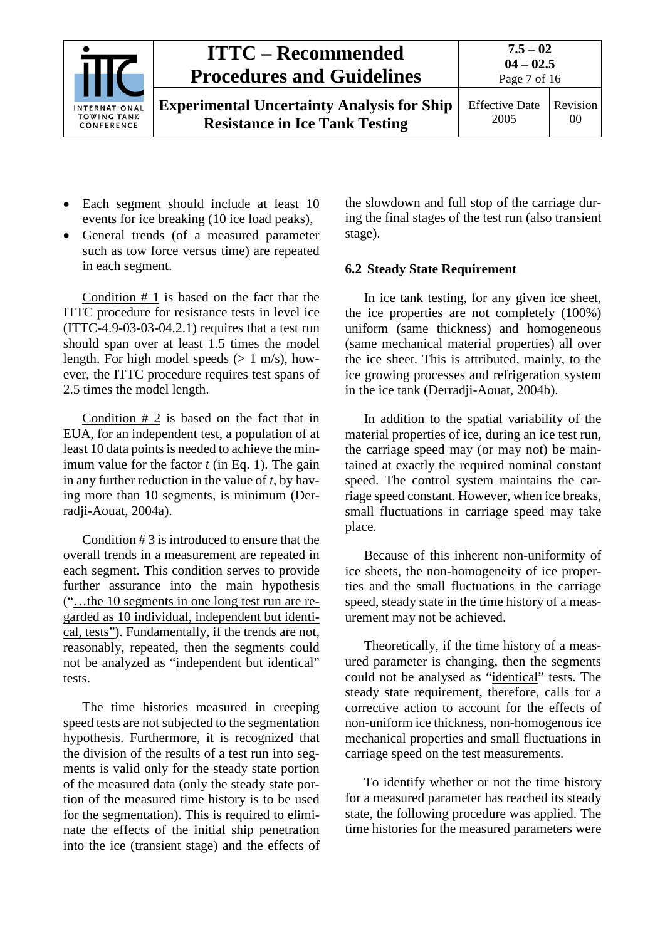

**Experimental Uncertainty Analysis for Ship Resistance in Ice Tank Testing**

- Each segment should include at least 10 events for ice breaking (10 ice load peaks),
- General trends (of a measured parameter such as tow force versus time) are repeated in each segment.

Condition # 1 is based on the fact that the ITTC procedure for resistance tests in level ice (ITTC-4.9-03-03-04.2.1) requires that a test run should span over at least 1.5 times the model length. For high model speeds  $(> 1 \text{ m/s})$ , however, the ITTC procedure requires test spans of 2.5 times the model length.

Condition  $# 2$  is based on the fact that in EUA, for an independent test, a population of at least 10 data points is needed to achieve the minimum value for the factor *t* (in Eq. 1). The gain in any further reduction in the value of *t*, by having more than 10 segments, is minimum (Derradji-Aouat, 2004a).

Condition # 3 is introduced to ensure that the overall trends in a measurement are repeated in each segment. This condition serves to provide further assurance into the main hypothesis ("…the 10 segments in one long test run are regarded as 10 individual, independent but identical, tests"). Fundamentally, if the trends are not, reasonably, repeated, then the segments could not be analyzed as "independent but identical" tests.

The time histories measured in creeping speed tests are not subjected to the segmentation hypothesis. Furthermore, it is recognized that the division of the results of a test run into segments is valid only for the steady state portion of the measured data (only the steady state portion of the measured time history is to be used for the segmentation). This is required to eliminate the effects of the initial ship penetration into the ice (transient stage) and the effects of the slowdown and full stop of the carriage during the final stages of the test run (also transient stage).

### <span id="page-6-0"></span>**6.2 Steady State Requirement**

In ice tank testing, for any given ice sheet, the ice properties are not completely (100%) uniform (same thickness) and homogeneous (same mechanical material properties) all over the ice sheet. This is attributed, mainly, to the ice growing processes and refrigeration system in the ice tank (Derradji-Aouat, 2004b).

In addition to the spatial variability of the material properties of ice, during an ice test run, the carriage speed may (or may not) be maintained at exactly the required nominal constant speed. The control system maintains the carriage speed constant. However, when ice breaks, small fluctuations in carriage speed may take place.

Because of this inherent non-uniformity of ice sheets, the non-homogeneity of ice properties and the small fluctuations in the carriage speed, steady state in the time history of a measurement may not be achieved.

Theoretically, if the time history of a measured parameter is changing, then the segments could not be analysed as "identical" tests. The steady state requirement, therefore, calls for a corrective action to account for the effects of non-uniform ice thickness, non-homogenous ice mechanical properties and small fluctuations in carriage speed on the test measurements.

To identify whether or not the time history for a measured parameter has reached its steady state, the following procedure was applied. The time histories for the measured parameters were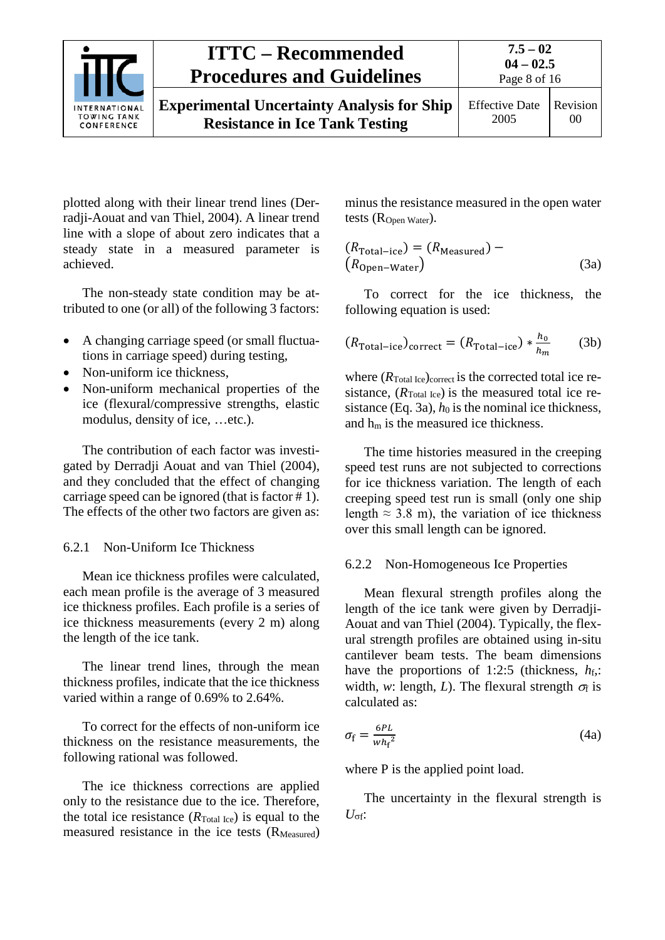

**Experimental Uncertainty Analysis for Ship Resistance in Ice Tank Testing**

plotted along with their linear trend lines (Derradji-Aouat and van Thiel, 2004). A linear trend line with a slope of about zero indicates that a steady state in a measured parameter is achieved.

The non-steady state condition may be attributed to one (or all) of the following 3 factors:

- A changing carriage speed (or small fluctuations in carriage speed) during testing,
- Non-uniform ice thickness,
- Non-uniform mechanical properties of the ice (flexural/compressive strengths, elastic modulus, density of ice, …etc.).

The contribution of each factor was investigated by Derradji Aouat and van Thiel (2004), and they concluded that the effect of changing carriage speed can be ignored (that is factor # 1). The effects of the other two factors are given as:

### <span id="page-7-0"></span>6.2.1 Non-Uniform Ice Thickness

Mean ice thickness profiles were calculated, each mean profile is the average of 3 measured ice thickness profiles. Each profile is a series of ice thickness measurements (every 2 m) along the length of the ice tank.

The linear trend lines, through the mean thickness profiles, indicate that the ice thickness varied within a range of 0.69% to 2.64%.

To correct for the effects of non-uniform ice thickness on the resistance measurements, the following rational was followed.

The ice thickness corrections are applied only to the resistance due to the ice. Therefore, the total ice resistance  $(R_{\text{Total Ice}})$  is equal to the measured resistance in the ice tests (R<sub>Measured</sub>)

minus the resistance measured in the open water tests (R<sub>Open</sub> Water).

$$
(RTotal-ice) = (RMeasured) -(ROpen-Water)
$$
 (3a)

To correct for the ice thickness, the following equation is used:

$$
(R_{\text{Total}-\text{ice}})_{\text{correct}} = (R_{\text{Total}-\text{ice}}) * \frac{h_0}{h_m} \tag{3b}
$$

where  $(R_{\text{Total Ice}})_{\text{correct}}$  is the corrected total ice resistance,  $(R_{\text{Total Ice}})$  is the measured total ice resistance (Eq. 3a),  $h_0$  is the nominal ice thickness, and hm is the measured ice thickness.

The time histories measured in the creeping speed test runs are not subjected to corrections for ice thickness variation. The length of each creeping speed test run is small (only one ship length  $\approx$  3.8 m), the variation of ice thickness over this small length can be ignored.

### <span id="page-7-1"></span>6.2.2 Non-Homogeneous Ice Properties

Mean flexural strength profiles along the length of the ice tank were given by Derradji-Aouat and van Thiel (2004). Typically, the flexural strength profiles are obtained using in-situ cantilever beam tests. The beam dimensions have the proportions of 1:2:5 (thickness,  $h_f$ . width, *w*: length, *L*). The flexural strength  $\sigma_f$  is calculated as:

$$
\sigma_{\rm f} = \frac{6PL}{w h_{\rm f}^2} \tag{4a}
$$

where P is the applied point load.

The uncertainty in the flexural strength is  $U_{\sigma f}$ :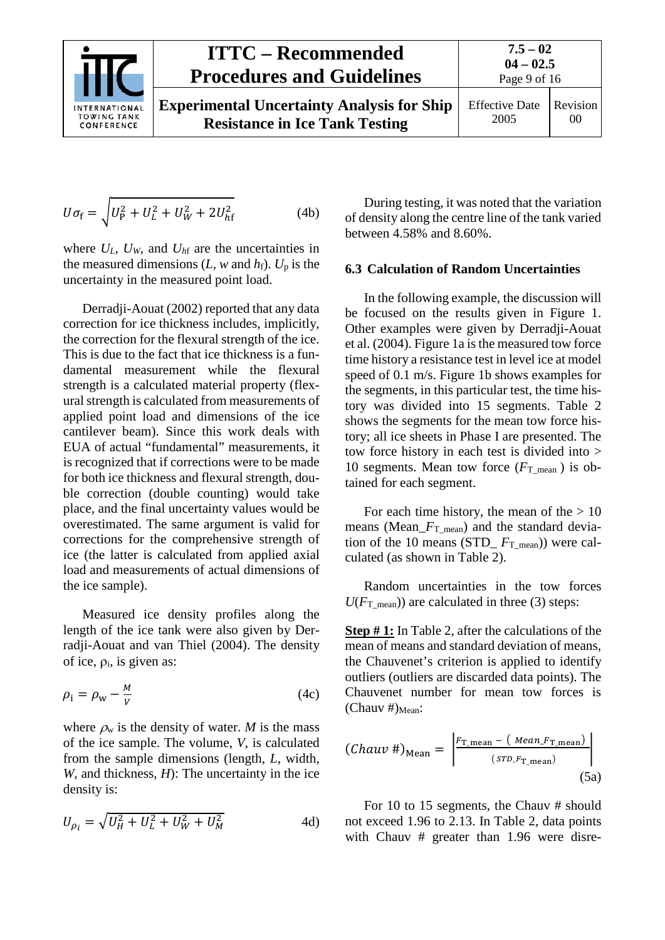

$$
U\sigma_{\rm f} = \sqrt{U_{\rm p}^2 + U_L^2 + U_W^2 + 2U_{\rm hf}^2}
$$
 (4b)

where  $U_L$ ,  $U_W$ , and  $U<sub>hf</sub>$  are the uncertainties in the measured dimensions  $(L, w \text{ and } h_f)$ .  $U_p$  is the uncertainty in the measured point load.

Derradji-Aouat (2002) reported that any data correction for ice thickness includes, implicitly, the correction for the flexural strength of the ice. This is due to the fact that ice thickness is a fundamental measurement while the flexural strength is a calculated material property (flexural strength is calculated from measurements of applied point load and dimensions of the ice cantilever beam). Since this work deals with EUA of actual "fundamental" measurements, it is recognized that if corrections were to be made for both ice thickness and flexural strength, double correction (double counting) would take place, and the final uncertainty values would be overestimated. The same argument is valid for corrections for the comprehensive strength of ice (the latter is calculated from applied axial load and measurements of actual dimensions of the ice sample).

Measured ice density profiles along the length of the ice tank were also given by Derradji-Aouat and van Thiel (2004). The density of ice,  $\rho_i$ , is given as:

$$
\rho_{\rm i} = \rho_{\rm w} - \frac{M}{V} \tag{4c}
$$

where  $\rho_w$  is the density of water. *M* is the mass of the ice sample. The volume, *V*, is calculated from the sample dimensions (length, *L*, width, *W*, and thickness, *H*): The uncertainty in the ice density is:

$$
U_{\rho_i} = \sqrt{U_H^2 + U_L^2 + U_W^2 + U_M^2}
$$
 4d)

During testing, it was noted that the variation of density along the centre line of the tank varied between 4.58% and 8.60%.

#### <span id="page-8-0"></span>**6.3 Calculation of Random Uncertainties**

In the following example, the discussion will be focused on the results given in Figure 1. Other examples were given by Derradji-Aouat et al. (2004). Figure 1a is the measured tow force time history a resistance test in level ice at model speed of 0.1 m/s. Figure 1b shows examples for the segments, in this particular test, the time history was divided into 15 segments. Table 2 shows the segments for the mean tow force history; all ice sheets in Phase I are presented. The tow force history in each test is divided into > 10 segments. Mean tow force (*F*T\_mean ) is obtained for each segment.

For each time history, the mean of the  $> 10$ means (Mean\_*F*T\_mean) and the standard deviation of the 10 means (STD\_ *F*T\_mean)) were calculated (as shown in Table 2).

Random uncertainties in the tow forces  $U(F_{\text{T\_mean}})$  are calculated in three (3) steps:

**Step # 1:** In Table 2, after the calculations of the mean of means and standard deviation of means, the Chauvenet's criterion is applied to identify outliers (outliers are discarded data points). The Chauvenet number for mean tow forces is  $(Chauv \#)_{Mean}:$ 

$$
(Chauv\#)_{Mean} = \left| \frac{F_{T\_mean} - ( \text{ Mean\_F}_{T\_mean})}{( \text{ SD\_F}_{T\_mean})} \right|
$$
\n(5a)

For 10 to 15 segments, the Chauv # should not exceed 1.96 to 2.13. In Table 2, data points with Chauv # greater than 1.96 were disre-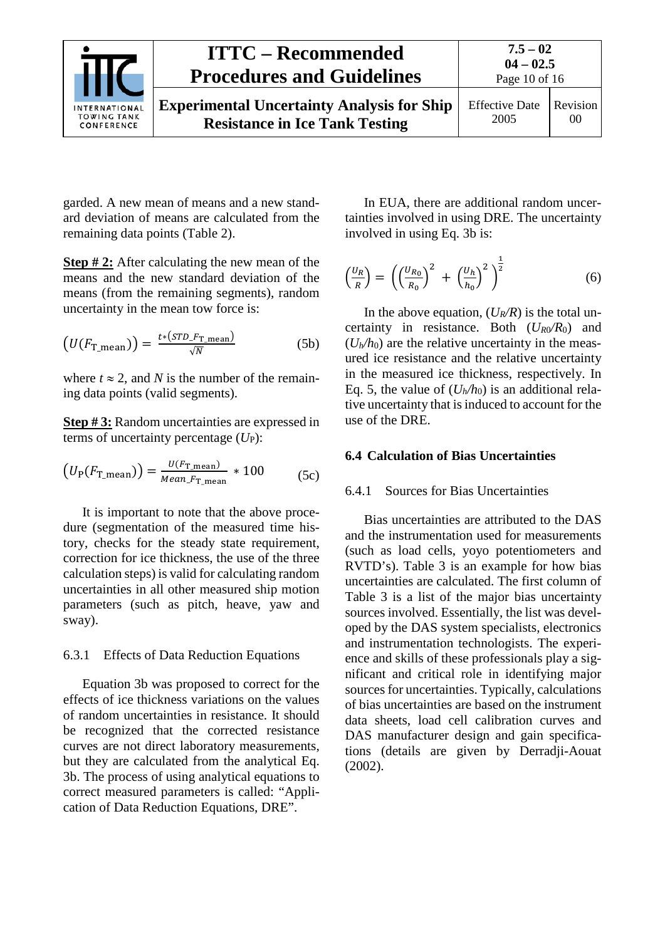

garded. A new mean of means and a new standard deviation of means are calculated from the remaining data points (Table 2).

**Step # 2:** After calculating the new mean of the means and the new standard deviation of the means (from the remaining segments), random uncertainty in the mean tow force is:

$$
\left(U(F_{\text{T\_mean}})\right) = \frac{t*(STD\_F_{\text{T\_mean}})}{\sqrt{N}}\tag{5b}
$$

where  $t \approx 2$ , and *N* is the number of the remaining data points (valid segments).

**Step # 3:** Random uncertainties are expressed in terms of uncertainty percentage (*U*<sub>P</sub>):

$$
(U_{\rm P}(F_{\rm T\_mean})) = \frac{U(F_{\rm T\_mean})}{Mean\_F_{\rm T\_mean}} * 100
$$
 (5c)

It is important to note that the above procedure (segmentation of the measured time history, checks for the steady state requirement, correction for ice thickness, the use of the three calculation steps) is valid for calculating random uncertainties in all other measured ship motion parameters (such as pitch, heave, yaw and sway).

### <span id="page-9-0"></span>6.3.1 Effects of Data Reduction Equations

Equation 3b was proposed to correct for the effects of ice thickness variations on the values of random uncertainties in resistance. It should be recognized that the corrected resistance curves are not direct laboratory measurements, but they are calculated from the analytical Eq. 3b. The process of using analytical equations to correct measured parameters is called: "Application of Data Reduction Equations, DRE".

In EUA, there are additional random uncertainties involved in using DRE. The uncertainty involved in using Eq. 3b is:

$$
\left(\frac{U_R}{R}\right) = \left(\left(\frac{U_{R_0}}{R_0}\right)^2 + \left(\frac{U_h}{h_0}\right)^2\right)^{\frac{1}{2}}\tag{6}
$$

In the above equation,  $(U_R/R)$  is the total uncertainty in resistance. Both  $(U_{R0}/R_0)$  and  $(U<sub>h</sub>/h<sub>0</sub>)$  are the relative uncertainty in the measured ice resistance and the relative uncertainty in the measured ice thickness, respectively. In Eq. 5, the value of  $(U_h/h_0)$  is an additional relative uncertainty that is induced to account for the use of the DRE.

#### <span id="page-9-2"></span><span id="page-9-1"></span>**6.4 Calculation of Bias Uncertainties**

#### 6.4.1 Sources for Bias Uncertainties

Bias uncertainties are attributed to the DAS and the instrumentation used for measurements (such as load cells, yoyo potentiometers and RVTD's). Table 3 is an example for how bias uncertainties are calculated. The first column of Table 3 is a list of the major bias uncertainty sources involved. Essentially, the list was developed by the DAS system specialists, electronics and instrumentation technologists. The experience and skills of these professionals play a significant and critical role in identifying major sources for uncertainties. Typically, calculations of bias uncertainties are based on the instrument data sheets, load cell calibration curves and DAS manufacturer design and gain specifications (details are given by Derradji-Aouat (2002).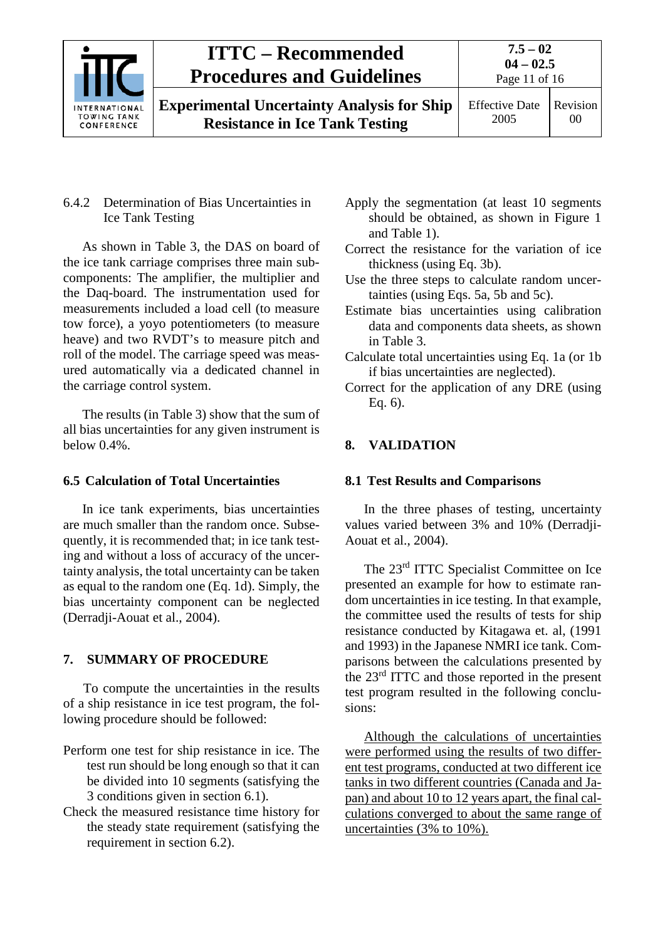

**Experimental Uncertainty Analysis for Ship Resistance in Ice Tank Testing**

### <span id="page-10-0"></span>6.4.2 Determination of Bias Uncertainties in Ice Tank Testing

As shown in Table 3, the DAS on board of the ice tank carriage comprises three main subcomponents: The amplifier, the multiplier and the Daq-board. The instrumentation used for measurements included a load cell (to measure tow force), a yoyo potentiometers (to measure heave) and two RVDT's to measure pitch and roll of the model. The carriage speed was measured automatically via a dedicated channel in the carriage control system.

The results (in Table 3) show that the sum of all bias uncertainties for any given instrument is below 0.4%.

## <span id="page-10-1"></span>**6.5 Calculation of Total Uncertainties**

In ice tank experiments, bias uncertainties are much smaller than the random once. Subsequently, it is recommended that; in ice tank testing and without a loss of accuracy of the uncertainty analysis, the total uncertainty can be taken as equal to the random one (Eq. 1d). Simply, the bias uncertainty component can be neglected (Derradji-Aouat et al., 2004).

## <span id="page-10-2"></span>**7. SUMMARY OF PROCEDURE**

To compute the uncertainties in the results of a ship resistance in ice test program, the following procedure should be followed:

- Perform one test for ship resistance in ice. The test run should be long enough so that it can be divided into 10 segments (satisfying the 3 conditions given in section 6.1).
- Check the measured resistance time history for the steady state requirement (satisfying the requirement in section 6.2).
- Apply the segmentation (at least 10 segments should be obtained, as shown in Figure 1 and Table 1).
- Correct the resistance for the variation of ice thickness (using Eq. 3b).
- Use the three steps to calculate random uncertainties (using Eqs. 5a, 5b and 5c).
- Estimate bias uncertainties using calibration data and components data sheets, as shown in Table 3.
- Calculate total uncertainties using Eq. 1a (or 1b if bias uncertainties are neglected).
- Correct for the application of any DRE (using Eq. 6).

## <span id="page-10-4"></span><span id="page-10-3"></span>**8. VALIDATION**

## **8.1 Test Results and Comparisons**

In the three phases of testing, uncertainty values varied between 3% and 10% (Derradji-Aouat et al., 2004).

The 23rd ITTC Specialist Committee on Ice presented an example for how to estimate random uncertainties in ice testing. In that example, the committee used the results of tests for ship resistance conducted by Kitagawa et. al, (1991 and 1993) in the Japanese NMRI ice tank. Comparisons between the calculations presented by the 23rd ITTC and those reported in the present test program resulted in the following conclusions:

Although the calculations of uncertainties were performed using the results of two different test programs, conducted at two different ice tanks in two different countries (Canada and Japan) and about 10 to 12 years apart, the final calculations converged to about the same range of uncertainties (3% to 10%).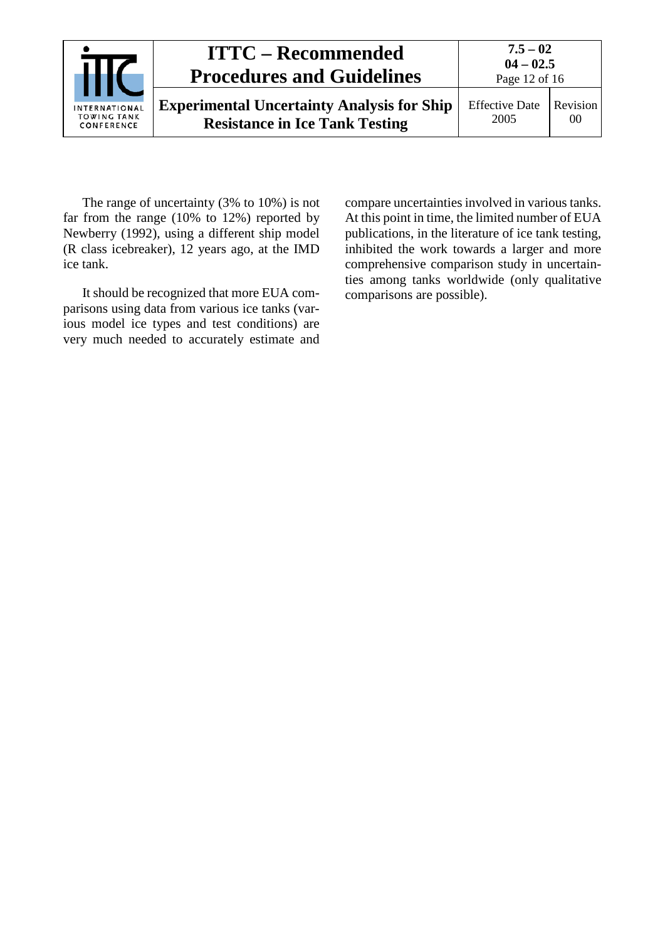|                                                   | <b>ITTC – Recommended</b><br><b>Procedures and Guidelines</b>                              | $7.5 - 02$<br>$04 - 02.5$<br>Page 12 of 16 |                |  |
|---------------------------------------------------|--------------------------------------------------------------------------------------------|--------------------------------------------|----------------|--|
| INTERNATIONAL<br><b>TOWING TANK</b><br>CONFERENCE | <b>Experimental Uncertainty Analysis for Ship</b><br><b>Resistance in Ice Tank Testing</b> | <b>Effective Date</b><br>2005              | Revision<br>00 |  |

The range of uncertainty (3% to 10%) is not far from the range (10% to 12%) reported by Newberry (1992), using a different ship model (R class icebreaker), 12 years ago, at the IMD ice tank.

It should be recognized that more EUA comparisons using data from various ice tanks (various model ice types and test conditions) are very much needed to accurately estimate and compare uncertainties involved in various tanks. At this point in time, the limited number of EUA publications, in the literature of ice tank testing, inhibited the work towards a larger and more comprehensive comparison study in uncertainties among tanks worldwide (only qualitative comparisons are possible).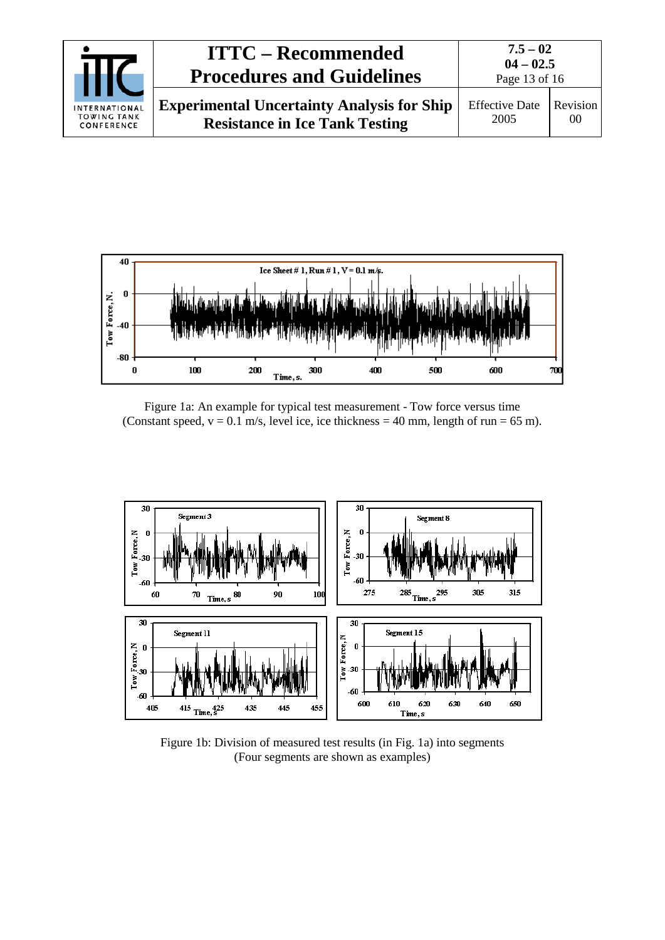|                                                   | <b>ITTC – Recommended</b><br><b>Procedures and Guidelines</b>                              | $7.5 - 02$<br>$04 - 02.5$<br>Page 13 of 16 |                |  |
|---------------------------------------------------|--------------------------------------------------------------------------------------------|--------------------------------------------|----------------|--|
| INTERNATIONAL<br><b>TOWING TANK</b><br>CONFERENCE | <b>Experimental Uncertainty Analysis for Ship</b><br><b>Resistance in Ice Tank Testing</b> | <b>Effective Date</b><br>2005              | Revision<br>00 |  |



Figure 1a: An example for typical test measurement - Tow force versus time (Constant speed,  $v = 0.1$  m/s, level ice, ice thickness = 40 mm, length of run = 65 m).



Figure 1b: Division of measured test results (in Fig. 1a) into segments (Four segments are shown as examples)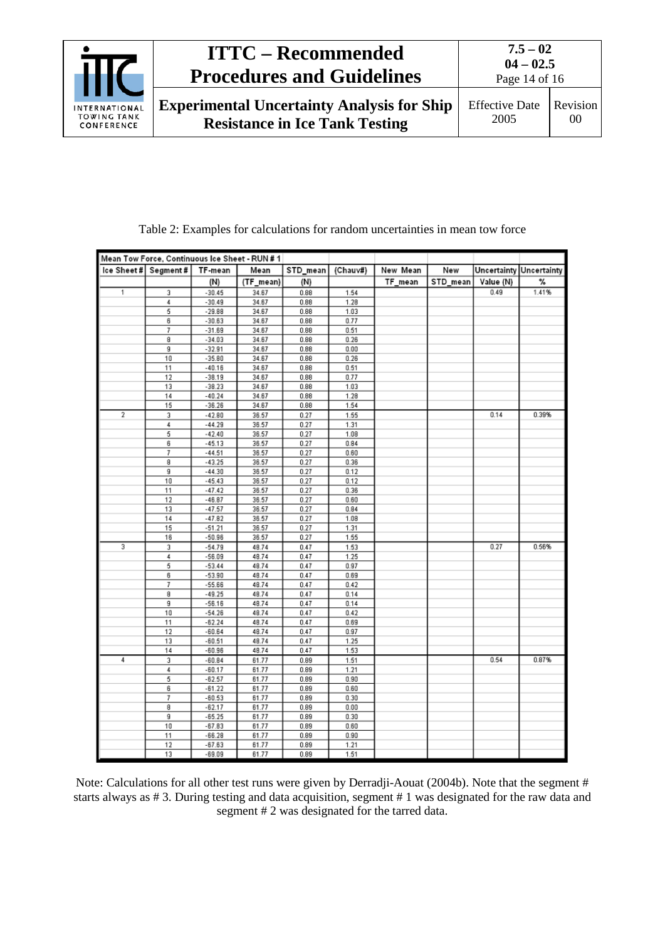

| Mean Tow Force, Continuous Ice Sheet - RUN # 1 |        |                      |                |              |              |          |          |                         |       |
|------------------------------------------------|--------|----------------------|----------------|--------------|--------------|----------|----------|-------------------------|-------|
| Ice Sheet# Segment#                            |        | TF-mean              | Mean           | STD_mean     | (Chauv#)     | New Mean | New      | Uncertainty Uncertainty |       |
|                                                |        | (N)                  | (TF_mean)      | (N)          |              | TF_mean  | STD_mean | Value (N)               | ℁     |
| 1                                              | 3      | $-30.45$             | 34.67          | 0.88         | 1.54         |          |          | 0.49                    | 1.41% |
|                                                | 4      | $-30.49$             | 34.67          | 0.88         | 1.28         |          |          |                         |       |
|                                                | 5      | $-29.88$             | 34.67          | 0.88         | 1.03         |          |          |                         |       |
|                                                | 6      | $-30.63$             | 34.67          | 0.88         | 0.77         |          |          |                         |       |
|                                                | 7      | $-31.69$             | 34.67          | 0.88         | 0.51         |          |          |                         |       |
|                                                | 8      | $-34.03$             | 34.67          | 0.88         | 0.26         |          |          |                         |       |
|                                                | 9      | $-32.91$             | 34.67          | 0.88         | 0.00         |          |          |                         |       |
|                                                | 10     | $-35.80$             | 34.67          | 0.88         | 0.26         |          |          |                         |       |
|                                                | 11     | $-40.16$             | 34.67          | 0.88         | 0.51         |          |          |                         |       |
|                                                | 12     | $-38.19$             | 34.67          | 0.88         | 0.77         |          |          |                         |       |
|                                                | 13     | $-38.23$             | 34.67          | 0.88         | 1.03         |          |          |                         |       |
|                                                | 14     | $-40.24$             | 34.67          | 0.88         | 1.28         |          |          |                         |       |
|                                                | 15     | $-36.26$             | 34.67          | 0.88         | 1.54         |          |          |                         |       |
| 2                                              | 3      | $-42.80$             | 36.57          | 0.27         | 1.55         |          |          | 0.14                    | 0.39% |
|                                                | 4      | $-44.29$             | 36.57          | 0.27         | 1.31         |          |          |                         |       |
|                                                | 5      | $-42.40$             | 36.57          | 0.27         | 1.08         |          |          |                         |       |
|                                                | 6      | $-45.13$             | 36.57          | 0.27         | 0.84         |          |          |                         |       |
|                                                | 7      | $-44.51$             | 36.57          | 0.27         | 0.60         |          |          |                         |       |
|                                                | 8      | $-43.25$             | 36.57          | 0.27         | 0.36         |          |          |                         |       |
|                                                | g      | $-44.30$             | 36.57          | 0.27         | 0.12         |          |          |                         |       |
|                                                | 10     | $-45.43$             | 36.57          | 0.27         | 0.12         |          |          |                         |       |
|                                                | 11     | $-47.42$             | 36.57          | 0.27         | 0.36         |          |          |                         |       |
|                                                | 12     | $-46.87$             | 36.57          | 0.27         | 0.60         |          |          |                         |       |
|                                                | 13     | $-47.57$             | 36.57          | 0.27         | 0.84         |          |          |                         |       |
|                                                | 14     | $-47.82$             | 36.57          | 0.27         | 1.08         |          |          |                         |       |
|                                                | 15     | $-51.21$             | 36.57          | 0.27         | 1.31         |          |          |                         |       |
| 3                                              | 16     | $-50.96$             | 36.57          | 0.27         | 1.55         |          |          | 0.27                    | 0.56% |
|                                                | 3<br>4 | $-54.79$             | 48.74          | 0.47         | 1.53         |          |          |                         |       |
|                                                | 5      | $-56.09$<br>$-53.44$ | 48.74<br>48.74 | 0.47<br>0.47 | 1.25<br>0.97 |          |          |                         |       |
|                                                | 6      | $-53.90$             | 48.74          | 0.47         | 0.69         |          |          |                         |       |
|                                                | 7      | $-55.66$             | 48.74          | 0.47         | 0.42         |          |          |                         |       |
|                                                | 8      | $-49.25$             | 48.74          | 0.47         | 0.14         |          |          |                         |       |
|                                                | 9      | $-56.16$             | 48.74          | 0.47         | 0.14         |          |          |                         |       |
|                                                | 10     | $-54.26$             | 48.74          | 0.47         | 0.42         |          |          |                         |       |
|                                                | 11     | $-62.24$             | 48.74          | 0.47         | 0.69         |          |          |                         |       |
|                                                | 12     | $-60.64$             | 48.74          | 0.47         | 0.97         |          |          |                         |       |
|                                                | 13     | $-60.51$             | 48.74          | 0.47         | 1.25         |          |          |                         |       |
|                                                | 14     | $-60.96$             | 48.74          | 0.47         | 1.53         |          |          |                         |       |
| 4                                              | 3      | $-60.84$             | 61.77          | 0.89         | 1.51         |          |          | 0.54                    | 0.87% |
|                                                | 4      | $-60.17$             | 61.77          | 0.89         | 1.21         |          |          |                         |       |
|                                                | 5      | $-62.57$             | 61.77          | 0.89         | 0.90         |          |          |                         |       |
|                                                | 6      | $-61.22$             | 61.77          | 0.89         | 0.60         |          |          |                         |       |
|                                                | 7      | $-60.53$             | 61.77          | 0.89         | 0.30         |          |          |                         |       |
|                                                | 8      | $-62.17$             | 61.77          | 0.89         | 0.00         |          |          |                         |       |
|                                                | g      | $-65.25$             | 61.77          | 0.89         | 0.30         |          |          |                         |       |
|                                                | 10     | $-67.83$             | 61.77          | 0.89         | 0.60         |          |          |                         |       |
|                                                | 11     | $-66.28$             | 61.77          | 0.89         | 0.90         |          |          |                         |       |
|                                                | 12     | $-67.63$             | 61.77          | 0.89         | 1.21         |          |          |                         |       |
|                                                | 13     | $-69.09$             | 61.77          | 0.89         | 1.51         |          |          |                         |       |

Table 2: Examples for calculations for random uncertainties in mean tow force

Note: Calculations for all other test runs were given by Derradji-Aouat (2004b). Note that the segment # starts always as # 3. During testing and data acquisition, segment # 1 was designated for the raw data and segment # 2 was designated for the tarred data.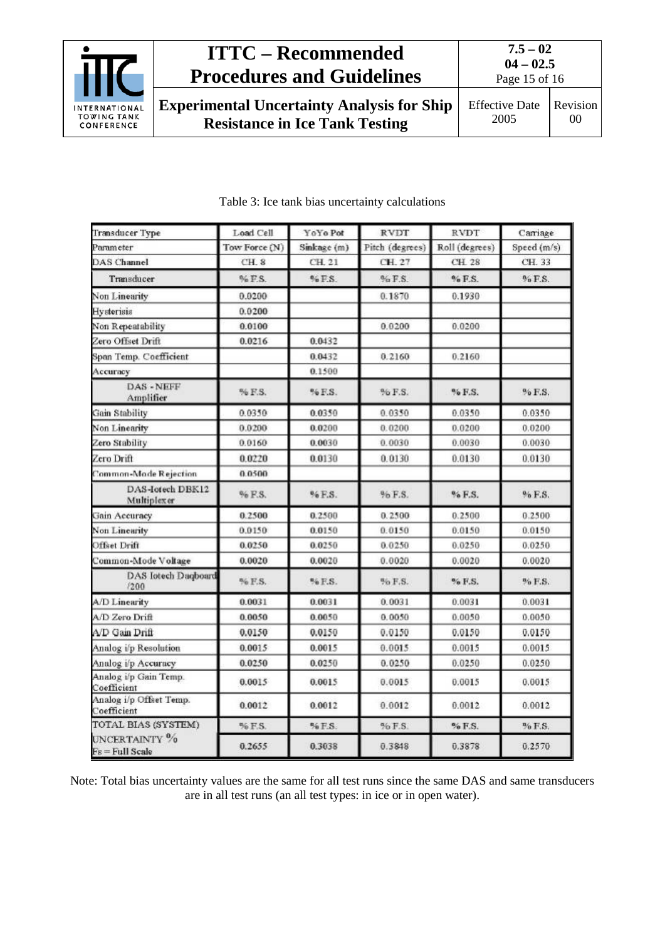

Page 15 of 16

**Experimental Uncertainty Analysis for Ship Resistance in Ice Tank Testing**

| Transducer Type                                               | Load Cell     | YoYo Pot    | <b>RVDT</b>     | <b>RVDT</b>    | Carriage    |
|---------------------------------------------------------------|---------------|-------------|-----------------|----------------|-------------|
| Param eter                                                    | Tow Force (N) | Sinkage (m) | Pitch (degrees) | Roll (degrees) | Speed (m/s) |
| <b>DAS</b> Channel                                            | CH 8          | CH 21       | CH 27           | CH 28          | CH. 33      |
| Transducer                                                    | $%$ F.S.      | $96$ F.S.   | $%$ F.S.        | $%$ F.S.       | $96$ F.S.   |
| Non Linearity                                                 | 0.0200        |             | 0.1870          | 0.1930         |             |
| Hysterisis                                                    | 0.0200        |             |                 |                |             |
| Non Repeatability                                             | 0.0100        |             | 0.0200          | 0.0200         |             |
| Zero Offset Drift                                             | 0.0216        | 0.0432      |                 |                |             |
| Span Temp. Coefficient                                        |               | 0.0432      | 0.2160          | 0.2160         |             |
| Accuracy                                                      |               | 0.1500      |                 |                |             |
| DAS - NEFF<br>Amplifier                                       | % F.S.        | % F.S.      | % F.S.          | % F.S.         | % F.S.      |
| <b>Gain Stability</b>                                         | 0.0350        | 0.0350      | 0.0350          | 0.0350         | 0.0350      |
| Non Linearity                                                 | 0.0200        | 0.0200      | 0.0200          | 0.0200         | 0.0200      |
| Zero Stability                                                | 0.0160        | 0.0030      | 0.0030          | 0.0030         | 0.0030      |
| Zero Drift                                                    | 0.0220        | 0.0130      | 0.0130          | 0.0130         | 0.0130      |
| Common-Mode Rejection                                         | 0.0500        |             |                 |                |             |
| DAS-Iotech DBK12<br>Multiplexer                               | % F.S.        | % F.S.      | % F.S.          | % F.S.         | % F.S.      |
| <b>Gain Accuracy</b>                                          | 0.2500        | 0.2500      | 0.2500          | 0.2500         | 0.2500      |
| Non Linearity                                                 | 0.0150        | 0.0150      | 0.0150          | 0.0150         | 0.0150      |
| <b>Offset Drift</b>                                           | 0.0250        | 0.0250      | 0.0250          | 0.0250         | 0.0250      |
| Common-Mode Voltage                                           | 0.0020        | 0.0020      | 0.0020          | 0.0020         | 0.0020      |
| DAS Iotech Daqboard<br>7200                                   | % F.S.        | % F.S.      | % F.S.          | % F.S.         | % F.S.      |
| A/D Linearity                                                 | 0.0031        | 0.0031      | 0.0031          | 0.0031         | 0.0031      |
| A/D Zero Drift                                                | 0.0050        | 0.0050      | 0.0050          | 0.0050         | 0.0050      |
| A/D Gain Drift                                                | 0.0150        | 0.0150      | 0.0150          | 0.0150         | 0.0150      |
| Analog i/p Resolution                                         | 0.0015        | 0.0015      | 0.0015          | 0.0015         | 0.0015      |
| Analog i/p Accuracy                                           | 0.0250        | 0.0250      | 0.0250          | 0.0250         | 0.0250      |
| Analog i/p Gain Temp.<br>Coefficient                          | 0.0015        | 0.0015      | 0.0015          | 0.0015         | 0.0015      |
| Analog i/p Offset Temp.<br>Coefficient<br>TOTAL BIAS (SYSTEM) | 0.0012        | 0.0012      | 0.0012          | 0.0012         | 0.0012      |
|                                                               | % F.S.        | % F.S.      | $%$ F.S.        | % F.S.         | % F.S.      |
| UNCERTAINTY <sup>9</sup> %<br>Fs = Full Scale                 | 0.2655        | 0.3038      | 0.3848          | 0.3878         | 0.2570      |

### Table 3: Ice tank bias uncertainty calculations

Note: Total bias uncertainty values are the same for all test runs since the same DAS and same transducers are in all test runs (an all test types: in ice or in open water).